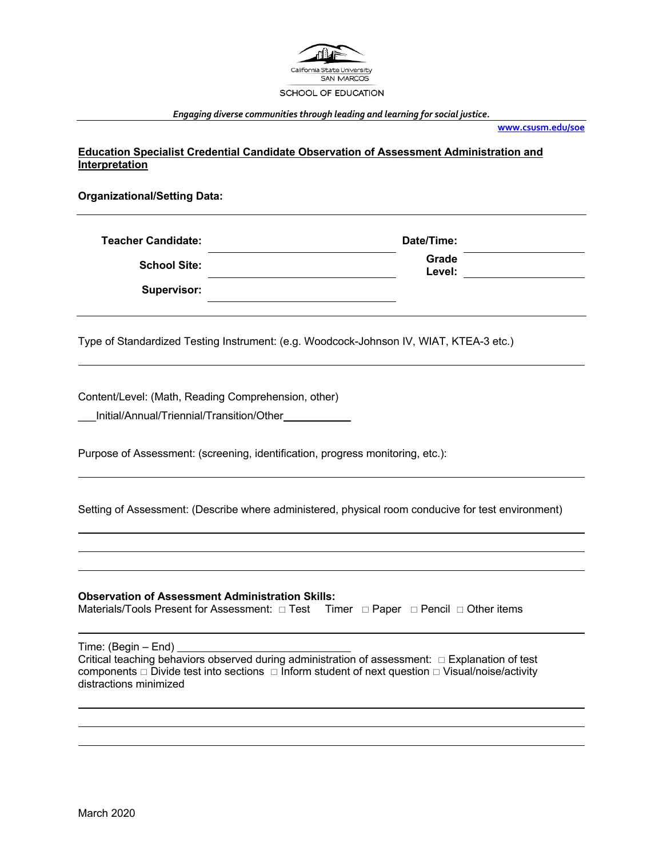

*Engaging diverse communities through leading and learning for social justice.*

**www.csusm.edu/soe**

**Education Specialist Credential Candidate Observation of Assessment Administration and Interpretation**

**Organizational/Setting Data:**

| <b>Teacher Candidate:</b> | Date/Time:      |
|---------------------------|-----------------|
| <b>School Site:</b>       | Grade<br>Level: |
| <b>Supervisor:</b>        |                 |

Type of Standardized Testing Instrument: (e.g. Woodcock-Johnson IV, WIAT, KTEA-3 etc.)

Content/Level: (Math, Reading Comprehension, other)

\_\_\_Initial/Annual/Triennial/Transition/Other

Purpose of Assessment: (screening, identification, progress monitoring, etc.):

Setting of Assessment: (Describe where administered, physical room conducive for test environment)

**Observation of Assessment Administration Skills:** Materials/Tools Present for Assessment:  $\Box$  Test Timer  $\Box$  Paper  $\Box$  Pencil  $\Box$  Other items Time: (Begin – End) Critical teaching behaviors observed during administration of assessment:  $\Box$  Explanation of test components  $\Box$  Divide test into sections  $\Box$  Inform student of next question  $\Box$  Visual/noise/activity distractions minimized